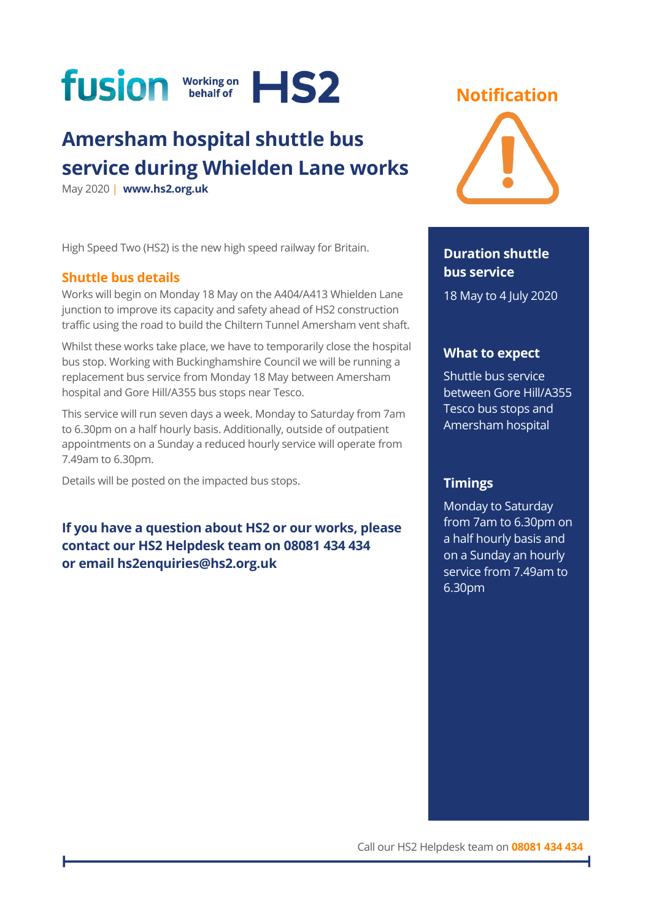

# **Amersham hospital shuttle bus service during Whielden Lane works**

May 2020 | **[www.hs2.org.uk](http://www.hs2.org.uk/)**

High Speed Two (HS2) is the new high speed railway for Britain.

#### **Shuttle bus details**

Works will begin on Monday 18 May on the A404/A413 Whielden Lane junction to improve its capacity and safety ahead of HS2 construction traffic using the road to build the Chiltern Tunnel Amersham vent shaft.

Whilst these works take place, we have to temporarily close the hospital bus stop. Working with Buckinghamshire Council we will be running a replacement bus service from Monday 18 May between Amersham hospital and Gore Hill/A355 bus stops near Tesco.

This service will run seven days a week. Monday to Saturday from 7am to 6.30pm on a half hourly basis. Additionally, outside of outpatient appointments on a Sunday a reduced hourly service will operate from 7.49am to 6.30pm.

Details will be posted on the impacted bus stops.

**If you have a question about HS2 or our works, please contact our HS2 Helpdesk team on 08081 434 434 or email hs2enquiries@hs2.org.uk**

### **Notification**



#### **Duration shuttle bus service**

18 May to 4 July 2020

#### **What to expect**

Shuttle bus service between Gore Hill/A355 Tesco bus stops and Amersham hospital

#### **Timings**

Monday to Saturday from 7am to 6.30pm on a half hourly basis and on a Sunday an hourly service from 7.49am to 6.30pm